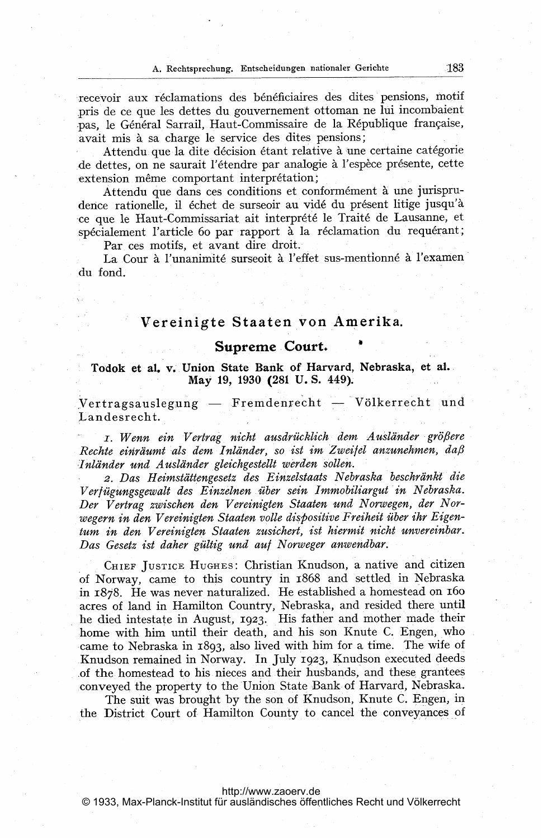recevoir aux réclamations des bénéficiaires des dites pensions, motif pris de ce que les dettes du gouvernement ottoman ne lui incombaient pas, le Général Sarrail, Haut-Commissaire de la République française, avait mis à sa charge le service des dites pensions;

Attendu que la dite décision étant relative à une certaine catégorie de dettes, on ne saurait l'étendre par analogie à l'espèce présente, cette extension même comportant interprétation;

Attendu que dans ces conditions et conformément à une jurisprudence rationelle, il échet de surseoir au vidé du présent litige jusqu'à ce que le Haut-Commissariat ait interprété le Traité de Lausanne, et spécialement l'article 60 par rapport à la réclamation du requérant;

Par ces motifs, et avant dire droit.

La Cour à l'unanimité surseoit à l'effet sus-mentionné à l'examen du fond.

## Vereinigte Staaten von AMerika.

## Supreme Court.

## Todok et al. v. Union State Bank of Harvard, Nebraska, et al.- May 19, 1930 (281 U.S. 449).

.<br>Vertragsauslegung — Fremdenrecht — Völkerrecht und Landesrecht.

i. Wenn ein Vertrag nicht ausdrücklich dem Ausländer größere Rechte einräumt als dem Inländer, so ist im Zweifel anzunehmen, da $\beta$ Inländer und Ausländer gleichgestellt werden sollen.

2. Das Heimstättengesetz des Einzelstaats Nebraska beschränkt die Verfügungsgewalt des Einzelnen über sein Immobiliargut in Nebraska. Der Vertrag zwischen den Vereinigten Staaten und Norwegen, der Norwegern in den Vereinigten Staaten volle dispositive Freiheit über ihr Eigentum in den Vereinigten Staaten zusichert, ist hiermit nicht unvereinbar. Das Gesetz ist daher gültig und auf Norweger anwendbar.

CHIEF JUSTICE HUGHES: Christian Knudson, <sup>a</sup> native and citizen of Norway, came to this country in 1868 and settled in Nebraska in  $1878$ . He was never naturalized. He established a homestead on  $160$ acres of land in Hamilton Country, Nebraska, and resided there until he died intestate in August, 1923. His father and mother made their home with him until their death, and his son Knute C. Engen, who came to Nebraska in 1893, also lived with him for a time. The wife of .Knudson remained in Norway. In July 1923, Knudson executed deeds .of the homestead to his nieces and their husbands, and these, grantees .conveyed the property to the Union State Bank of Harvard, Nebraska.

The suit was brought by the son of Knudson, Knute C. Engen, in the District Court of Hamilton County to cancel the conveyances of

## <http://www.zaoerv.de>

© 1933, Max-Planck-Institut für ausländisches öffentliches Recht und Völkerrecht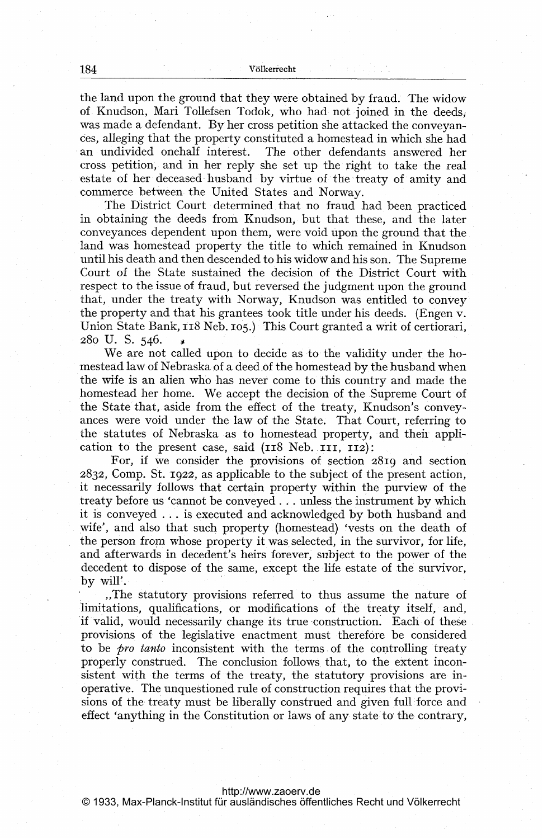the land upon the ground that they were obtained by fraud. The widow of Knudson, Mari Tollefsen Todok, who had not joined in the deeds was made <sup>a</sup> defendant. By her cross petition she attacked the conveyances, alleging that the property constituted a homestead in which she had an undivided onehalf interest. The other defendants answered her cross petition, and in her reply she set up the right to take the real estate of her deceased husband by virtue of the treaty of amity and commerce between the United States and Norway.

The District Court determined that no fraud had been practiced in obtaining the deeds from Knudson, but that these, and the later conveyances dependent upon them, were void upon the ground that the land was homestead property the title to which remained in Knudson until his death and then descended to his widow and his son. The Supreme Court of the State sustained the decision of the District Court with respect to the issue of fraud, but reversed the judgment upon the ground that, under the treaty with Norway, Knudson was entitled to convey the property and that his grantees took title under his deeds. (Engen v. Union State Bank, 118 Neb. 105.) This Court granted a writ of certiorari, 280 U. S. 546.

We are not called upon to decide as to the validity under the homestead law of Nebraskaof a deed.of the homestead by the husband when the wife is an alien who has never come to this country and made the homestead her home. We accept the decision of the Supreme Court of the State that, aside from the effect of the treaty, Knudson's conveyances were void under the law of the State. That Court, referring to the statutes of Nebraska as to homestead property, and theii application to the present case, said  $(118$  Neb.  $111$ ,  $112)$ :

For, if we consider the provisions of section 281g and section 2832, COMP. St. 1922, as applicable to the subject of the present action, it necessarily follows that certain property within the purview of the treaty before us 'cannot be conveyed . . . unless the instrument by which it is conveyed ... is executed and acknowledged by both husband and wife', and also that such property (homestead) 'vests on the death of the person from whose property it was selected, in the survivor, for life, and afterwards in decedent's heirs forever, subject to the power of the decedent to dispose of the same, except the life estate of the survivor, by will'.

\_The statutory provisions referred to thus assume the nature of 'limitations, qualifications, or modifications of the treaty itself, and, if valid, would necessarily change its true construction. Each of these provisions of the legislative enactment, must therefore be considered to be *pro tanto* inconsistent with the terms of the controlling treaty properly construed. The conclusion follows, that, to the extent inconsistent with the terms of the treaty, the statutory provisions are inoperative. The unquestioned rule of construction requires that the provisions of the treaty must be liberally construed and given full force and effect 'anything in the Constitution or laws of any state to the contrary,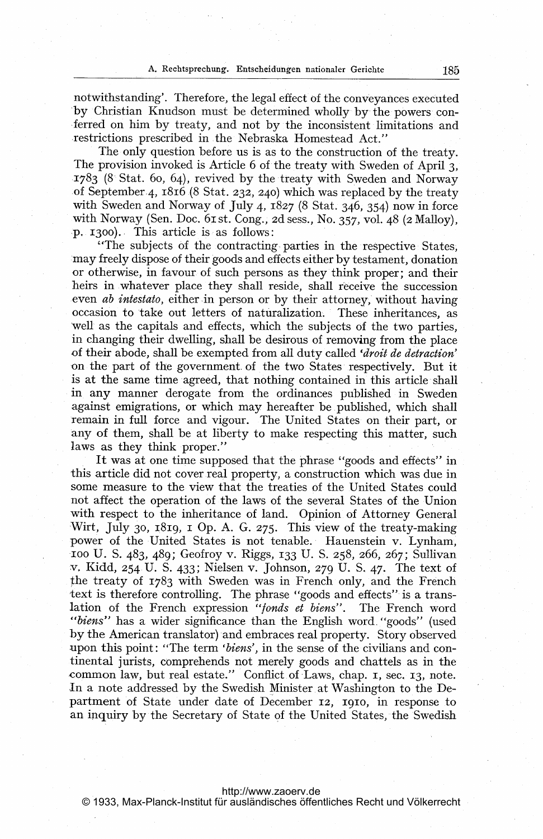notwithstanding'. Therefore, the legal effect of the conveyances executed -by Christian Knudson must be determined wholly by the powers con- -ferred on him by treaty, and not by the inconsistent limitations and restrictions prescribed in.the Nebraska Homestead Act."

The only question before us is as to the construction of the treaty. The provision invoked is Article <sup>6</sup> of the treaty with Sweden of April 3, J783 (8 Stat. 6o, 64), revived by the treaty with Sweden and Norway of September.4, 1816 (8 Stat. 232, 240) which was replaced by the treaty with Sweden and Norway of July 4,  $1827$  (8 Stat. 346, 354) now in force with Norway (Sen. Doc. 61 st. Cong., 2d sess., No. 357, vol. 48 (2 Malloy),  $\Phi$ . 1300). This article is as follows:

"The subjects of the contracting parties in the respective States may freely dispose of their goods and effects either by testament, donation or otherwise, in favour of such persons as they think proper; and their heirs in whatever place they shall reside, shall receive the succession even *ab intestato*, either in person or by their attorney, without having occasion to take out letters of naturalization. These inheritances, as 'well as the capitals and effects, which the subjects of the two parties, in changing their dwelling, shall be desirous of removing from the place of their abode, shall be exempted from all duty called 'droit de detraction' on the part of the government. of the two States respectively. But it is at the same time agreed, that nothing contained in this article shall in any manner derogate from the ordinances published in Sweden against emigrations, or which may hereafter be. published, which shall remain in full force and vigour. The United States on their part, or any of them, shall be at liberty to make respecting this matter, such laws as they think proper."

It was at one time supposed that the phrase "goods and effects" in this article did not cover real property, a construction which was due in some measure to the view that the treaties of the United States could not affect the operation of the laws of the several States of the Union with respect to the inheritance of land. Opinion of Attorney General Wirt, July 30, 1819, 1 Op. A. G. 275. This view of the treaty-making power of the United States is not tenable. Hauenstein v. Lynham, 100 U- S- 483, 489; Geofroy v. Riggs, 133 U- S. 258, 266, 267; Sullivan v. Kidd, 254 U. S. 433; Nielsen v. Johnson, 279 U- S- 47. The text of the treaty of 1783 with Sweden was in French only, and the French text is therefore controlling. The phrase "goods and effects" is a translation of the French expression "fonds et biens". The French word "*biens*" has a wider significance than the English word, "goods" (used by the American translator) and embraces real property. Story observed upon this point: "The term 'biens', in the sense of the civilians and continental jurists, comprehends not merely goods and chattels as in the common law, but real estate." Conflict of Laws, chap. I, sec. 13, note. .In a note addressed by the Swedish Minister at Washington to the Department of State under date of December 12, 1910, in response to an inquiry by the Secretary of State of the United States, the Swedish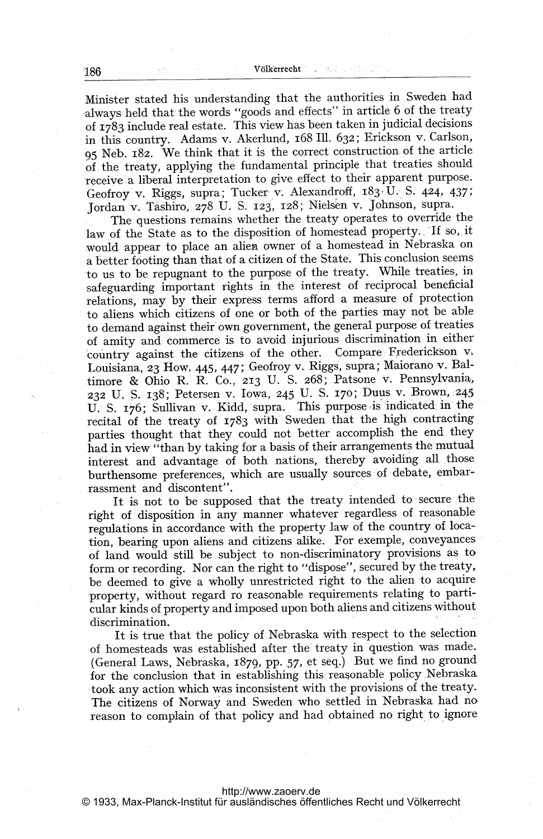Minister stated his understanding that the authorities in Sweden had always held that the words "goods and effects" in article 6 of the treaty of 1783 include real estate. This view has been taken in judicial decisions in this country. Adams v. Akerlund, <sup>168</sup> 111. 632; Erickson v. Carlson, <sup>95</sup> Neb. 182. We think that it is the correct construction of the, article of the treaty, applying the fundamental principle that treaties should receive a liberal interpretation to give effect to their apparent purpose. Geofroy v. Riggs, supra; Tucker v. Alexandroff, 183, U. S. 424, 437; Jordan v. Tashiro,. 278. U. S. 123, 128; 'Nielsen v. Johnson, supra.

The questions remains whether the treaty operates to override the law of the State as to the disposition of homestead property. If so, it would appear to place an alien owner of a homestead in Nebraska on a better footing than that of a citizen of the State. This conclusion seems 'to us to be repugnant to the purpose of the treaty., While treaties, in safeguarding important rights in the interest of reciprocal beneficial relations, may by their express terms afford a measure of protection to aliens which citizens of one or both of the parties may not be able to demand against their own government, the general purpose of treaties of amity -and commerce is to avoid injurious discrimination in either country against the citizens of the other. Compare Frederickson v; Louisiana, 23 How. 445, 447; Geofroy v. Riggs, supra; Maiorano v. Baltimore & Ohio R. R. CO., 213 U. S. 268; Patsone v. Pennsylvania, 232 U. S. 138; Petersen v. Iowa, 245 U. S. 170; Duus v. Brown, 245 U. S. 176; Sullivan v. Kidd, supra. This purpose is indicated in the recital of the treaty of 1783 with Sweden that the high contracting parties thought that they could not better accomplish the end they had in view "than by taking for <sup>a</sup> basis of their arrangements the mutual interest and advantage of both nations, thereby avoiding all-those burthensome preferences, which are usually sources of debate, embarrassment and discontent".

It is not to be supposed that the treaty intended to secure the right of disposition in any manner whatever regardless of reasonable regulations in accordance with the property law of the country of location, bearing upon aliens and citizens alike. For exemple, conveyances of land would still be subject to non-discriminatory provisions as to form or recording. Nor can the right to "dispose",, secured by the treaty, be deemed to give a wholly unrestricted right to the alien to acquire -property, without regard ro reasonable requirements relating to parti cular kinds of property and imposed upon both aliens and citizens without discrimination.

It is true that the policy of Nebraska with respect to the selection of homesteads was established after. the' treaty in question was made. (General Laws, Nebraska, 1879, pp. 57, et seq.) But we find no ground for the, conclusion that in establishing this reasonable policy Nebraska took any action which was inconsistent with the provisions of the treaty, The citizens of Norway and Sweden who settled in Nebraska had no reason to complain of that policy and had obtained no right to ignore

<http://www.zaoerv.de>

© 1933, Max-Planck-Institut für ausländisches öffentliches Recht und Völkerrecht